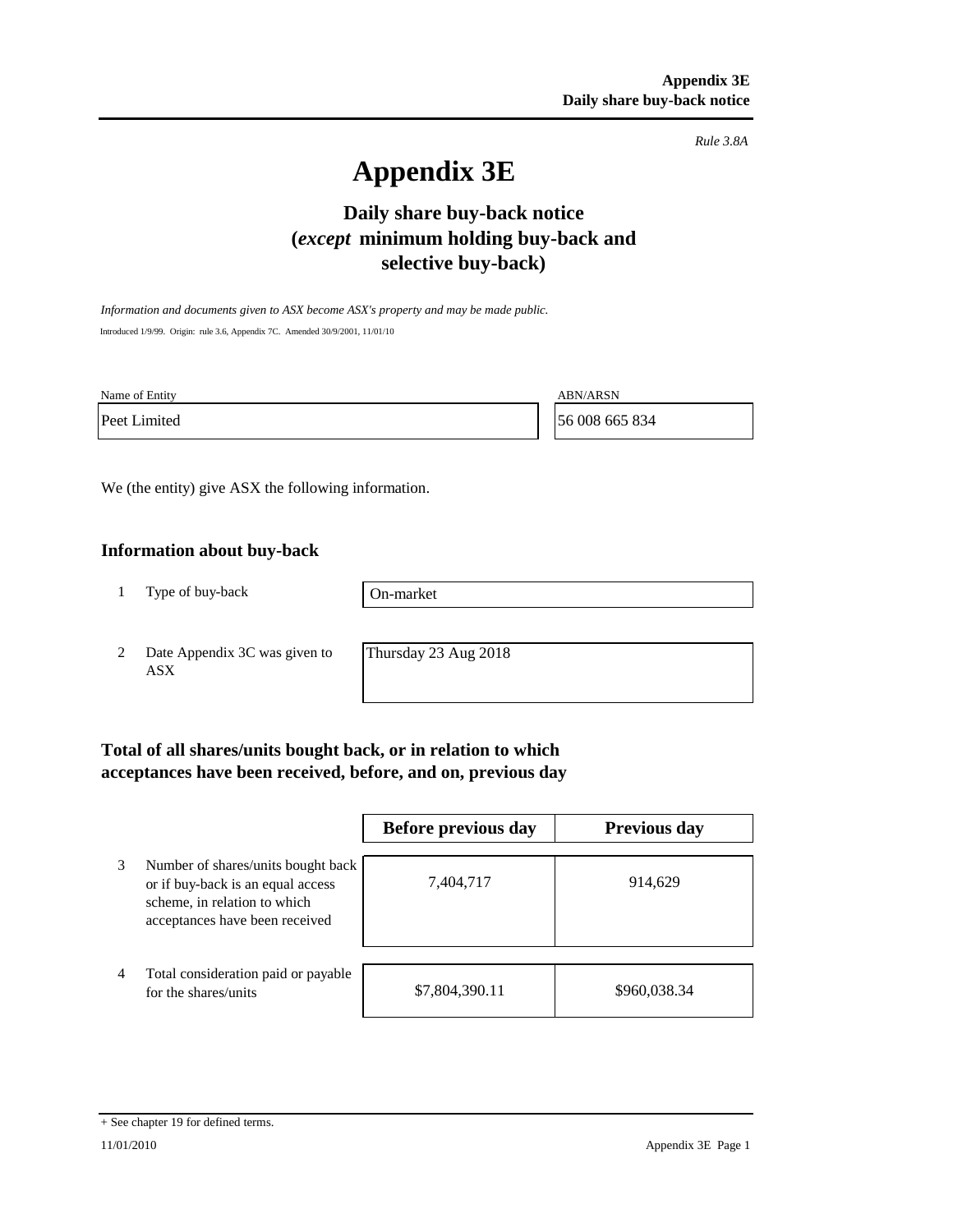*Rule 3.8A*

# **Appendix 3E**

## **Daily share buy-back notice (***except* **minimum holding buy-back and selective buy-back)**

*Information and documents given to ASX become ASX's property and may be made public.* Introduced 1/9/99. Origin: rule 3.6, Appendix 7C. Amended 30/9/2001, 11/01/10

Name of Entity ABN/ARSN

Peet Limited 56 008 665 834

We (the entity) give ASX the following information.

### **Information about buy-back**

1 Type of buy-back

On-market

2 Date Appendix 3C was given to ASX

Thursday 23 Aug 2018

## **Total of all shares/units bought back, or in relation to which acceptances have been received, before, and on, previous day**

|   |                                                                                                                                           | Before previous day | <b>Previous day</b> |
|---|-------------------------------------------------------------------------------------------------------------------------------------------|---------------------|---------------------|
| 3 | Number of shares/units bought back<br>or if buy-back is an equal access<br>scheme, in relation to which<br>acceptances have been received | 7,404,717           | 914,629             |
| 4 | Total consideration paid or payable<br>for the shares/units                                                                               | \$7,804,390.11      | \$960,038.34        |

<sup>+</sup> See chapter 19 for defined terms.